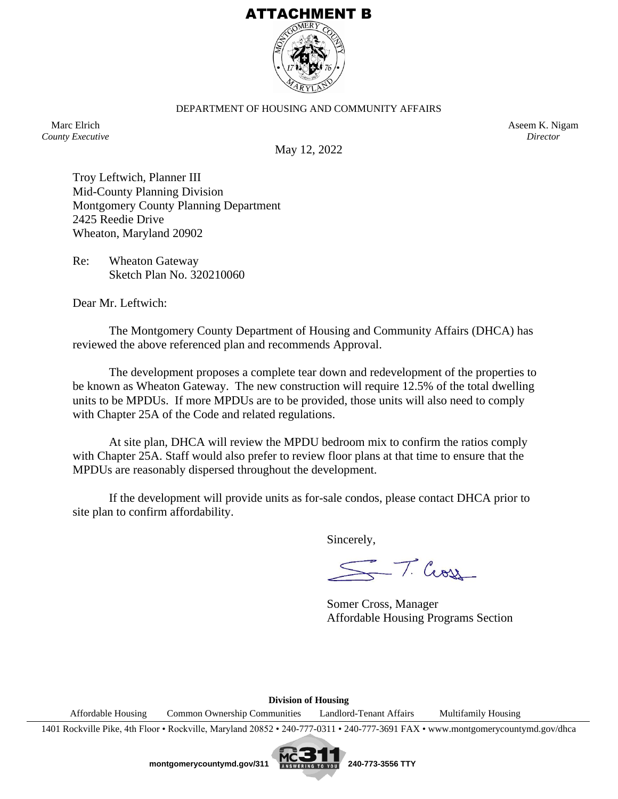

## DEPARTMENT OF HOUSING AND COMMUNITY AFFAIRS

Marc Elrich *County Executive* Aseem K. Nigam *Director*

May 12, 2022

Troy Leftwich, Planner III Mid-County Planning Division Montgomery County Planning Department 2425 Reedie Drive Wheaton, Maryland 20902

Re: Wheaton Gateway Sketch Plan No. 320210060

Dear Mr. Leftwich:

The Montgomery County Department of Housing and Community Affairs (DHCA) has reviewed the above referenced plan and recommends Approval.

The development proposes a complete tear down and redevelopment of the properties to be known as Wheaton Gateway. The new construction will require 12.5% of the total dwelling units to be MPDUs. If more MPDUs are to be provided, those units will also need to comply with Chapter 25A of the Code and related regulations.

At site plan, DHCA will review the MPDU bedroom mix to confirm the ratios comply with Chapter 25A. Staff would also prefer to review floor plans at that time to ensure that the MPDUs are reasonably dispersed throughout the development.

If the development will provide units as for-sale condos, please contact DHCA prior to site plan to confirm affordability.

Sincerely,

5 T. Cross

Somer Cross, Manager Affordable Housing Programs Section

**Division of Housing**

Affordable Housing Common Ownership Communities Landlord-Tenant Affairs Multifamily Housing

1401 Rockville Pike, 4th Floor • Rockville, Maryland 20852 • 240-777-0311 • 240-777-3691 FAX • www.montgomerycountymd.gov/dhca

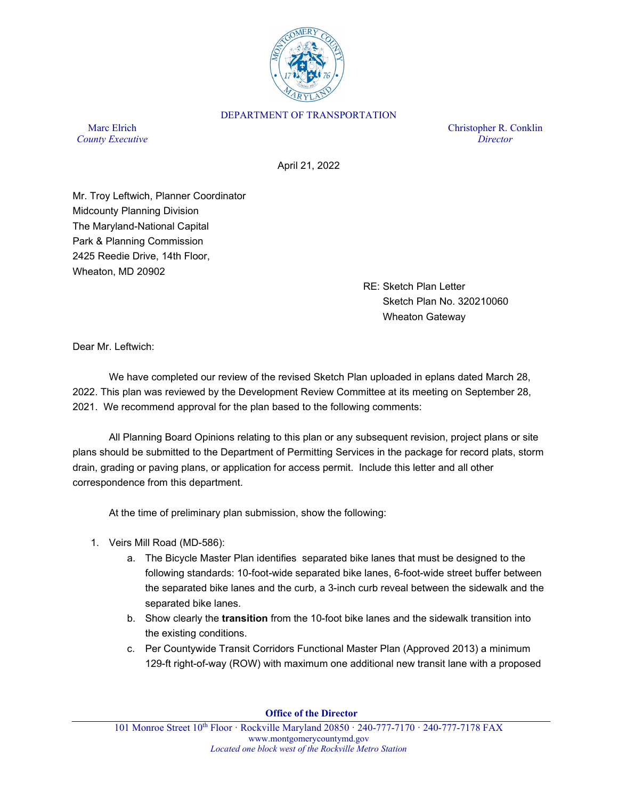

## DEPARTMENT OF TRANSPORTATION

*County Executive Director*

Marc Elrich Christopher R. Conklin

April 21, 2022

Mr. Troy Leftwich, Planner Coordinator Midcounty Planning Division The Maryland-National Capital Park & Planning Commission 2425 Reedie Drive, 14th Floor, Wheaton, MD 20902

> RE: Sketch Plan Letter Sketch Plan No. 320210060 Wheaton Gateway

Dear Mr. Leftwich:

We have completed our review of the revised Sketch Plan uploaded in eplans dated March 28, 2022. This plan was reviewed by the Development Review Committee at its meeting on September 28, 2021. We recommend approval for the plan based to the following comments:

All Planning Board Opinions relating to this plan or any subsequent revision, project plans or site plans should be submitted to the Department of Permitting Services in the package for record plats, storm drain, grading or paving plans, or application for access permit. Include this letter and all other correspondence from this department.

At the time of preliminary plan submission, show the following:

- 1. Veirs Mill Road (MD-586):
	- a. The Bicycle Master Plan identifies separated bike lanes that must be designed to the following standards: 10-foot-wide separated bike lanes, 6-foot-wide street buffer between the separated bike lanes and the curb, a 3-inch curb reveal between the sidewalk and the separated bike lanes.
	- b. Show clearly the **transition** from the 10-foot bike lanes and the sidewalk transition into the existing conditions.
	- c. Per Countywide Transit Corridors Functional Master Plan (Approved 2013) a minimum 129-ft right-of-way (ROW) with maximum one additional new transit lane with a proposed

**Office of the Director**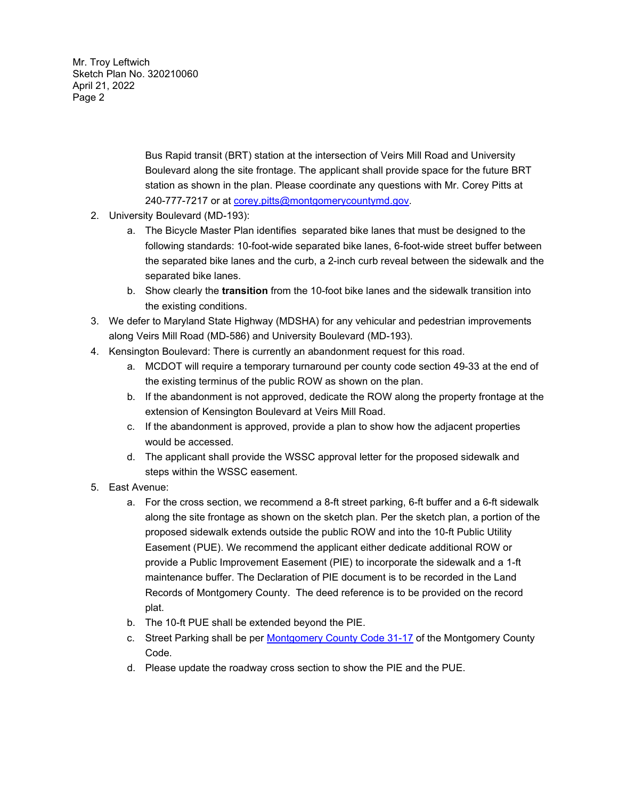> Bus Rapid transit (BRT) station at the intersection of Veirs Mill Road and University Boulevard along the site frontage. The applicant shall provide space for the future BRT station as shown in the plan. Please coordinate any questions with Mr. Corey Pitts at 240-777-7217 or at [corey.pitts@montgomerycountymd.gov.](mailto:corey.pitts@montgomerycountymd.gov)

- 2. University Boulevard (MD-193):
	- a. The Bicycle Master Plan identifies separated bike lanes that must be designed to the following standards: 10-foot-wide separated bike lanes, 6-foot-wide street buffer between the separated bike lanes and the curb, a 2-inch curb reveal between the sidewalk and the separated bike lanes.
	- b. Show clearly the **transition** from the 10-foot bike lanes and the sidewalk transition into the existing conditions.
- 3. We defer to Maryland State Highway (MDSHA) for any vehicular and pedestrian improvements along Veirs Mill Road (MD-586) and University Boulevard (MD-193).
- 4. Kensington Boulevard: There is currently an abandonment request for this road.
	- a. MCDOT will require a temporary turnaround per county code section 49-33 at the end of the existing terminus of the public ROW as shown on the plan.
	- b. If the abandonment is not approved, dedicate the ROW along the property frontage at the extension of Kensington Boulevard at Veirs Mill Road.
	- c. If the abandonment is approved, provide a plan to show how the adjacent properties would be accessed.
	- d. The applicant shall provide the WSSC approval letter for the proposed sidewalk and steps within the WSSC easement.
- 5. East Avenue:
	- a. For the cross section, we recommend a 8-ft street parking, 6-ft buffer and a 6-ft sidewalk along the site frontage as shown on the sketch plan. Per the sketch plan, a portion of the proposed sidewalk extends outside the public ROW and into the 10-ft Public Utility Easement (PUE). We recommend the applicant either dedicate additional ROW or provide a Public Improvement Easement (PIE) to incorporate the sidewalk and a 1-ft maintenance buffer. The Declaration of PIE document is to be recorded in the Land Records of Montgomery County. The deed reference is to be provided on the record plat.
	- b. The 10-ft PUE shall be extended beyond the PIE.
	- c. Street Parking shall be per [Montgomery County Code 31-17](https://codelibrary.amlegal.com/codes/montgomerycounty/latest/montgomeryco_md/0-0-0-15705#JD_31-17) of the Montgomery County Code.
	- d. Please update the roadway cross section to show the PIE and the PUE.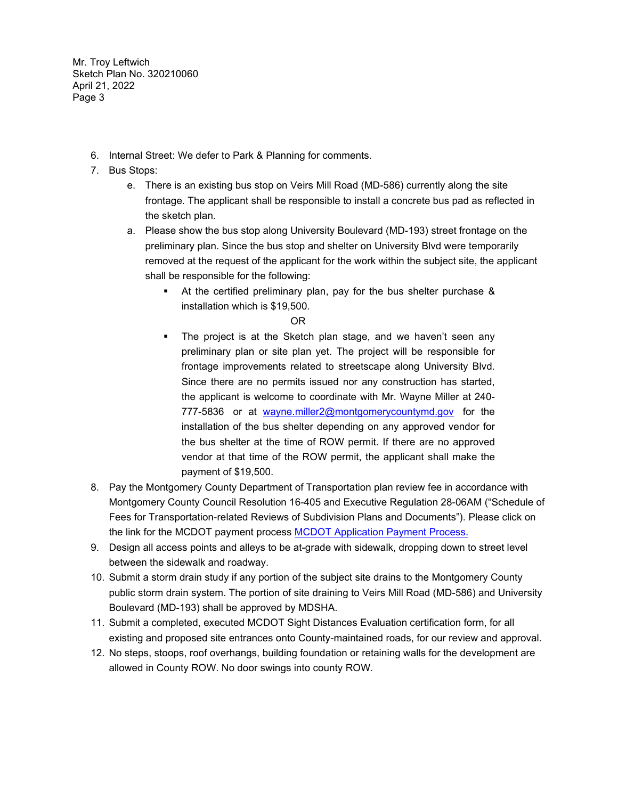- 6. Internal Street: We defer to Park & Planning for comments.
- 7. Bus Stops:
	- e. There is an existing bus stop on Veirs Mill Road (MD-586) currently along the site frontage. The applicant shall be responsible to install a concrete bus pad as reflected in the sketch plan.
	- a. Please show the bus stop along University Boulevard (MD-193) street frontage on the preliminary plan. Since the bus stop and shelter on University Blvd were temporarily removed at the request of the applicant for the work within the subject site, the applicant shall be responsible for the following:
		- At the certified preliminary plan, pay for the bus shelter purchase & installation which is \$19,500.

OR

- The project is at the Sketch plan stage, and we haven't seen any preliminary plan or site plan yet. The project will be responsible for frontage improvements related to streetscape along University Blvd. Since there are no permits issued nor any construction has started, the applicant is welcome to coordinate with Mr. Wayne Miller at 240 777-5836 or at [wayne.miller2@montgomerycountymd.gov](mailto:wayne.miller2@montgomerycountymd.gov) for the installation of the bus shelter depending on any approved vendor for the bus shelter at the time of ROW permit. If there are no approved vendor at that time of the ROW permit, the applicant shall make the payment of \$19,500.
- 8. Pay the Montgomery County Department of Transportation plan review fee in accordance with Montgomery County Council Resolution 16-405 and Executive Regulation 28-06AM ("Schedule of Fees for Transportation-related Reviews of Subdivision Plans and Documents"). Please click on the link for the MCDOT payment process [MCDOT Application Payment Process.](https://www.montgomerycountymd.gov/dot-dir/Resources/Files/DevRevApplication.pdf)
- 9. Design all access points and alleys to be at-grade with sidewalk, dropping down to street level between the sidewalk and roadway.
- 10. Submit a storm drain study if any portion of the subject site drains to the Montgomery County public storm drain system. The portion of site draining to Veirs Mill Road (MD-586) and University Boulevard (MD-193) shall be approved by MDSHA.
- 11. Submit a completed, executed MCDOT Sight Distances Evaluation certification form, for all existing and proposed site entrances onto County-maintained roads, for our review and approval.
- 12. No steps, stoops, roof overhangs, building foundation or retaining walls for the development are allowed in County ROW. No door swings into county ROW.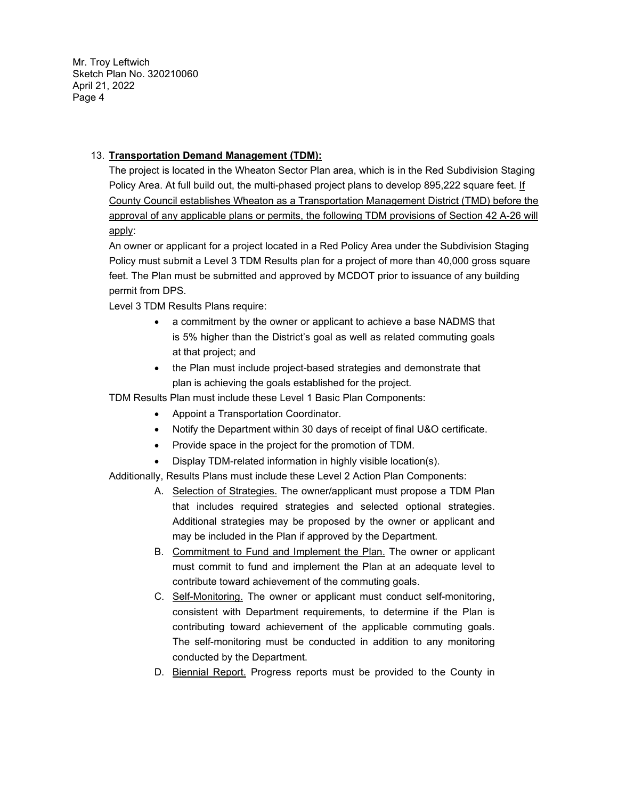## 13. **Transportation Demand Management (TDM):**

The project is located in the Wheaton Sector Plan area, which is in the Red Subdivision Staging Policy Area. At full build out, the multi-phased project plans to develop 895,222 square feet. If County Council establishes Wheaton as a Transportation Management District (TMD) before the approval of any applicable plans or permits, the following TDM provisions of Section 42 A-26 will apply:

An owner or applicant for a project located in a Red Policy Area under the Subdivision Staging Policy must submit a Level 3 TDM Results plan for a project of more than 40,000 gross square feet. The Plan must be submitted and approved by MCDOT prior to issuance of any building permit from DPS.

Level 3 TDM Results Plans require:

- a commitment by the owner or applicant to achieve a base NADMS that is 5% higher than the District's goal as well as related commuting goals at that project; and
- the Plan must include project-based strategies and demonstrate that plan is achieving the goals established for the project.

TDM Results Plan must include these Level 1 Basic Plan Components:

- Appoint a Transportation Coordinator.
- Notify the Department within 30 days of receipt of final U&O certificate.
- Provide space in the project for the promotion of TDM.
- Display TDM-related information in highly visible location(s).

Additionally, Results Plans must include these Level 2 Action Plan Components:

- A. Selection of Strategies. The owner/applicant must propose a TDM Plan that includes required strategies and selected optional strategies. Additional strategies may be proposed by the owner or applicant and may be included in the Plan if approved by the Department.
- B. Commitment to Fund and Implement the Plan. The owner or applicant must commit to fund and implement the Plan at an adequate level to contribute toward achievement of the commuting goals.
- C. Self-Monitoring. The owner or applicant must conduct self-monitoring, consistent with Department requirements, to determine if the Plan is contributing toward achievement of the applicable commuting goals. The self-monitoring must be conducted in addition to any monitoring conducted by the Department.
- D. Biennial Report. Progress reports must be provided to the County in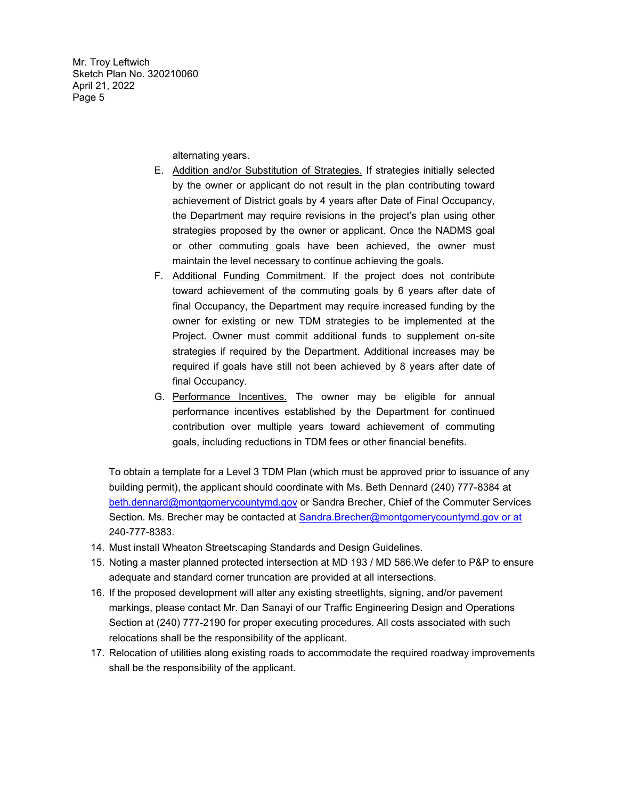alternating years.

- E. Addition and/or Substitution of Strategies. If strategies initially selected by the owner or applicant do not result in the plan contributing toward achievement of District goals by 4 years after Date of Final Occupancy, the Department may require revisions in the project's plan using other strategies proposed by the owner or applicant. Once the NADMS goal or other commuting goals have been achieved, the owner must maintain the level necessary to continue achieving the goals.
- F. Additional Funding Commitment. If the project does not contribute toward achievement of the commuting goals by 6 years after date of final Occupancy, the Department may require increased funding by the owner for existing or new TDM strategies to be implemented at the Project. Owner must commit additional funds to supplement on-site strategies if required by the Department. Additional increases may be required if goals have still not been achieved by 8 years after date of final Occupancy.
- G. Performance Incentives. The owner may be eligible for annual performance incentives established by the Department for continued contribution over multiple years toward achievement of commuting goals, including reductions in TDM fees or other financial benefits.

To obtain a template for a Level 3 TDM Plan (which must be approved prior to issuance of any building permit), the applicant should coordinate with Ms. Beth Dennard (240) 777-8384 at [beth.dennard@montgomerycountymd.gov](mailto:beth.dennard@montgomerycountymd.gov) or Sandra Brecher, Chief of the Commuter Services Section. Ms. Brecher may be contacted at [Sandra.Brecher@montgomerycountymd.gov](mailto:Sandra.Brecher@montgomerycountymd.gov) or at 240-777-8383.

- 14. Must install Wheaton Streetscaping Standards and Design Guidelines.
- 15. Noting a master planned protected intersection at MD 193 / MD 586.We defer to P&P to ensure adequate and standard corner truncation are provided at all intersections.
- 16. If the proposed development will alter any existing streetlights, signing, and/or pavement markings, please contact Mr. Dan Sanayi of our Traffic Engineering Design and Operations Section at (240) 777-2190 for proper executing procedures. All costs associated with such relocations shall be the responsibility of the applicant.
- 17. Relocation of utilities along existing roads to accommodate the required roadway improvements shall be the responsibility of the applicant.